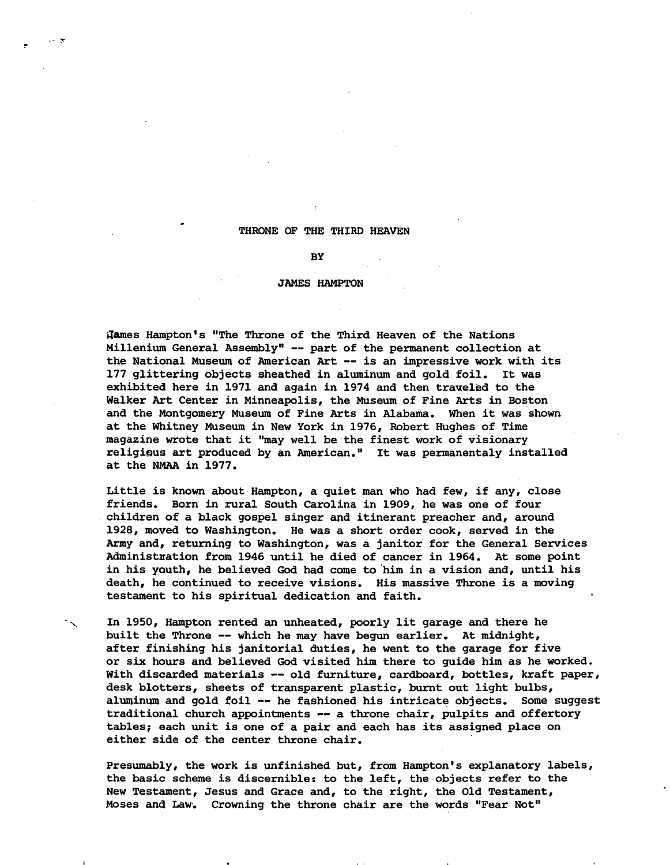## THRONE OF THE THIRD HEAVEN

## **BY**

## JAMES HAMPTON

i ames Hampton's "The Throne of the Third Heaven of the Nations" Millenium General Assembly" -- part of the permanent collection at the National Museum of American Art -- is an impressive work with its 177 glittering objects sheathed in aluminum and gold foil. It was exhibited here in 1971 and again in 1974 and then traweled to the Walker Art Center in Minneapolis, the Museum of Fine Arts in Boston and the Montgomery Museum of Fine Arts in Alabama. When it was shown at the Whitney Museum in New York in 1976, Robert Hughes of Time magazine wrote that it "may well be the finest work of visionary religious art produced by an American." It was permanentaly installed at the NMAA in 1977.

Little is known about Hampton, a quiet man who had few, if any, close friends. Born in rural South Carolina in 1909, he was one of four children of a black gospel singer and itinerant preacher and, around 1928, moved to Washington. He was a short order cook, served in the Army and, returning to Washington, was a janitor for the General Services Administration from 1946 until he died of cancer in 1964. At some point in his youth, he believed God had come to him in a vision and, until his death, he continued to receive visions. His massive Throne is a moving testament to his spiritual dedication and faith.

In 1950, Hampton rented an unheated, poorly lit garage and there he built the Throne  $--$  which he may have begun earlier. At midnight, after finishing his janitorial duties, he went to the garage for five or six hours and believed God visited him there to guide him as he worked. With discarded materials -- old furniture, cardboard, bottles, kraft paper, desk blotters, sheets of transparent plastic, burnt out light bulbs, aluminum and gold foil -- he fashioned his intricate objects. Some suggest traditional church appointments -- a throne chair, pulpits and offertory tables; each unit is one of a pair and each has its assigned place on either side of the center throne chair.

Presumably, the work is unfinished but, from Hampton's explanatory labels, the basic scheme is discernible: to the left, the objects refer to the New Testament, Jesus and Grace and, to the right, the Old Testament, Moses and Law. Crowning the throne chair are the words "Fear Not"